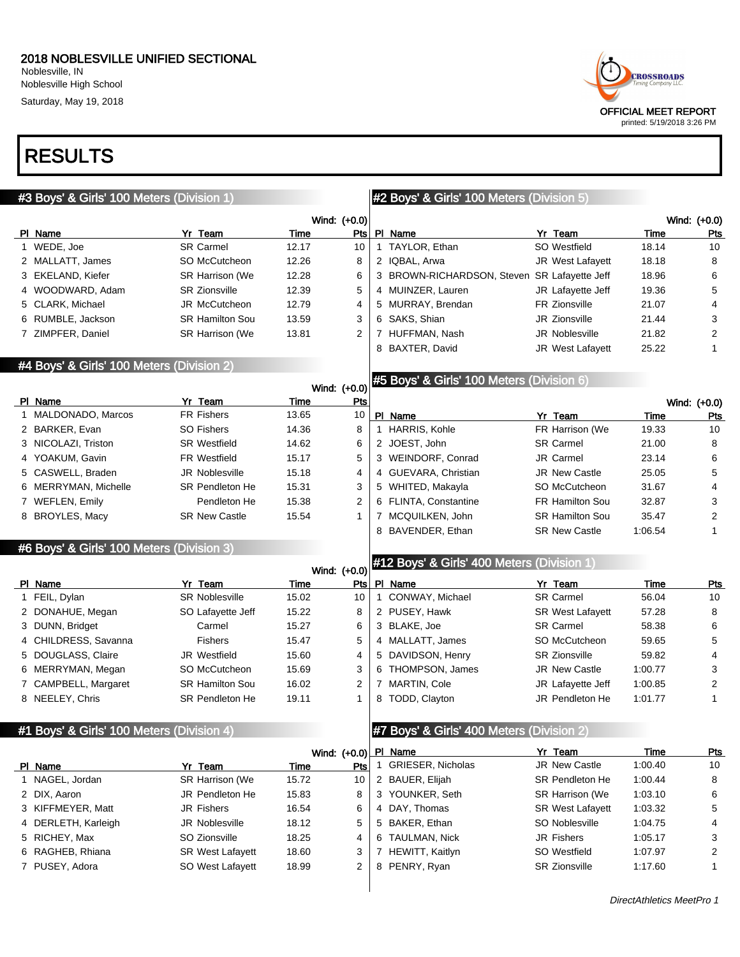Saturday, May 19, 2018

## RESULTS



| #3 Boys' & Girls' 100 Meters (Division 1) |                        |             |                |                                            | #2 Boys' & Girls' 100 Meters (Division 5)                                             |                                     |                |                     |  |  |
|-------------------------------------------|------------------------|-------------|----------------|--------------------------------------------|---------------------------------------------------------------------------------------|-------------------------------------|----------------|---------------------|--|--|
|                                           |                        |             | Wind: (+0.0)   |                                            |                                                                                       |                                     |                | Wind: (+0.0)        |  |  |
| PI Name                                   | Yr Team                | <b>Time</b> | Pts            |                                            | PI Name                                                                               | Yr Team                             | Time           | <b>Pts</b>          |  |  |
| 1 WEDE, Joe                               | <b>SR Carmel</b>       | 12.17       | 10             |                                            | 1 TAYLOR, Ethan                                                                       | SO Westfield                        | 18.14          | 10                  |  |  |
| 2 MALLATT, James                          | SO McCutcheon          | 12.26       | 8              |                                            | 2 IQBAL, Arwa                                                                         | <b>JR</b> West Lafayett             | 18.18          | 8                   |  |  |
| 3 EKELAND, Kiefer                         | <b>SR Harrison (We</b> | 12.28       | 6              |                                            | 3 BROWN-RICHARDSON, Steven SR Lafayette Jeff                                          |                                     | 18.96          | 6                   |  |  |
| 4 WOODWARD, Adam                          | <b>SR Zionsville</b>   | 12.39       | 5              |                                            | 4 MUINZER, Lauren                                                                     | JR Lafayette Jeff                   | 19.36          | 5                   |  |  |
| 5 CLARK, Michael                          | JR McCutcheon          | 12.79       | 4              |                                            | 5 MURRAY, Brendan                                                                     | FR Zionsville                       | 21.07          | 4                   |  |  |
| 6 RUMBLE, Jackson                         | <b>SR Hamilton Sou</b> | 13.59       | 3              |                                            | 6 SAKS, Shian                                                                         | JR Zionsville                       | 21.44          | 3                   |  |  |
| 7 ZIMPFER, Daniel                         | SR Harrison (We        | 13.81       | $\overline{2}$ |                                            | 7 HUFFMAN, Nash                                                                       | <b>JR Noblesville</b>               | 21.82          | $\overline{2}$      |  |  |
|                                           |                        |             |                |                                            | 8 BAXTER, David                                                                       | <b>JR</b> West Lafayett             | 25.22          | $\mathbf{1}$        |  |  |
| #4 Boys' & Girls' 100 Meters (Division 2) |                        |             |                |                                            |                                                                                       |                                     |                |                     |  |  |
|                                           |                        |             |                | #5 Boys' & Girls' 100 Meters (Division 6)  |                                                                                       |                                     |                |                     |  |  |
|                                           |                        |             | Wind: (+0.0)   |                                            |                                                                                       |                                     |                |                     |  |  |
| PI Name                                   | Yr Team                | <b>Time</b> | <u>Pts</u>     |                                            |                                                                                       |                                     |                | Wind: (+0.0)        |  |  |
| 1 MALDONADO, Marcos                       | <b>FR Fishers</b>      | 13.65       | 10<br>8        |                                            | PI Name                                                                               | Yr Team                             | Time           | Pts                 |  |  |
| 2 BARKER, Evan                            | <b>SO Fishers</b>      | 14.36       |                |                                            | 1 HARRIS, Kohle                                                                       | FR Harrison (We<br><b>SR Carmel</b> | 19.33          | 10                  |  |  |
| 3 NICOLAZI, Triston                       | <b>SR Westfield</b>    | 14.62       | 6              |                                            | 2 JOEST, John                                                                         | JR Carmel                           | 21.00          | 8                   |  |  |
| 4 YOAKUM, Gavin                           | <b>FR Westfield</b>    | 15.17       | 5<br>4         |                                            | 3 WEINDORF, Conrad                                                                    |                                     | 23.14<br>25.05 | 6                   |  |  |
| 5 CASWELL, Braden                         | <b>JR Noblesville</b>  | 15.18       |                |                                            | 4 GUEVARA, Christian                                                                  | <b>JR New Castle</b>                |                | 5<br>$\overline{4}$ |  |  |
| 6 MERRYMAN, Michelle                      | SR Pendleton He        | 15.31       | 3              |                                            | 5 WHITED, Makayla<br>SO McCutcheon<br>6 FLINTA, Constantine<br><b>FR Hamilton Sou</b> |                                     | 31.67          |                     |  |  |
| 7 WEFLEN, Emily                           | Pendleton He           | 15.38       | $\overline{2}$ |                                            |                                                                                       |                                     | 32.87          | 3                   |  |  |
| 8 BROYLES, Macy                           | <b>SR New Castle</b>   | 15.54       | 1              |                                            | 7 MCQUILKEN, John                                                                     | <b>SR Hamilton Sou</b>              | 35.47          | $\overline{2}$      |  |  |
|                                           |                        |             |                |                                            | 8 BAVENDER, Ethan                                                                     | <b>SR New Castle</b>                | 1:06.54        | $\mathbf{1}$        |  |  |
| #6 Boys' & Girls' 100 Meters (Division 3) |                        |             |                |                                            |                                                                                       |                                     |                |                     |  |  |
|                                           |                        |             | Wind: (+0.0)   | #12 Boys' & Girls' 400 Meters (Division 1) |                                                                                       |                                     |                |                     |  |  |
| PI Name                                   | Yr Team                | Time        | Pts            |                                            | PI Name                                                                               | Yr Team                             | Time           | Pts                 |  |  |
| 1 FEIL, Dylan                             | <b>SR Noblesville</b>  | 15.02       | 10             |                                            | 1 CONWAY, Michael                                                                     | <b>SR Carmel</b>                    | 56.04          | 10                  |  |  |
| 2 DONAHUE, Megan                          | SO Lafayette Jeff      | 15.22       | 8              |                                            | 2 PUSEY, Hawk                                                                         | <b>SR West Lafayett</b>             | 57.28          | 8                   |  |  |
| 3 DUNN, Bridget                           | Carmel                 | 15.27       | 6              |                                            | 3 BLAKE, Joe                                                                          | <b>SR Carmel</b>                    | 58.38          | 6                   |  |  |
| 4 CHILDRESS, Savanna                      | <b>Fishers</b>         | 15.47       | 5              |                                            | 4 MALLATT, James                                                                      | SO McCutcheon                       | 59.65          | 5                   |  |  |
| 5 DOUGLASS, Claire                        | <b>JR Westfield</b>    | 15.60       | 4              |                                            | 5 DAVIDSON, Henry                                                                     | <b>SR Zionsville</b>                | 59.82          | 4                   |  |  |
| 6 MERRYMAN, Megan                         | SO McCutcheon          | 15.69       | 3              |                                            | 6 THOMPSON, James                                                                     | JR New Castle                       | 1:00.77        | 3                   |  |  |
| 7 CAMPBELL, Margaret                      | <b>SR Hamilton Sou</b> | 16.02       | $\overline{c}$ |                                            | 7 MARTIN, Cole                                                                        | JR Lafayette Jeff                   | 1:00.85        | $\overline{c}$      |  |  |
| 8 NEELEY, Chris                           | <b>SR Pendleton He</b> | 19.11       | 1              |                                            | 8 TODD, Clayton                                                                       | JR Pendleton He                     | 1:01.77        | $\mathbf{1}$        |  |  |
| #1 Boys' & Girls' 100 Meters (Division 4) |                        |             |                |                                            | #7 Boys' & Girls' 400 Meters (Division 2)                                             |                                     |                |                     |  |  |
|                                           |                        |             | Wind: (+0.0)   |                                            | PI Name                                                                               | Yr Team                             | Time           | <b>Pts</b>          |  |  |
| PI Name                                   | Yr Team                | <b>Time</b> | Pts            |                                            | 1 GRIESER, Nicholas                                                                   | JR New Castle                       | 1:00.40        | 10                  |  |  |
| 1 NAGEL, Jordan                           | SR Harrison (We        | 15.72       | 10             |                                            | 2 BAUER, Elijah                                                                       | <b>SR Pendleton He</b>              | 1:00.44        | 8                   |  |  |
| 2 DIX, Aaron                              | JR Pendleton He        | 15.83       | 8              |                                            | 3 YOUNKER, Seth                                                                       | <b>SR Harrison (We</b>              | 1:03.10        | 6                   |  |  |

3 KIFFMEYER, Matt **JR** Fishers 16.54 6 4 DAY, Thomas

4 DERLETH, Karleigh JR Noblesville 18.12 5 5 RICHEY, Max SO Zionsville 18.25 4 6 RAGHEB, Rhiana SR West Lafayett 18.60 3 7 PUSEY, Adora **SO West Lafayett** 18.99 2

SR West Lafayett 1:03.32 5

5 BAKER, Ethan SO Noblesville 1:04.75 4 6 TAULMAN, Nick **JR Fishers** 1:05.17 3 7 HEWITT, Kaitlyn SO Westfield 1:07.97 2 8 PENRY, Ryan SR Zionsville 1:17.60 1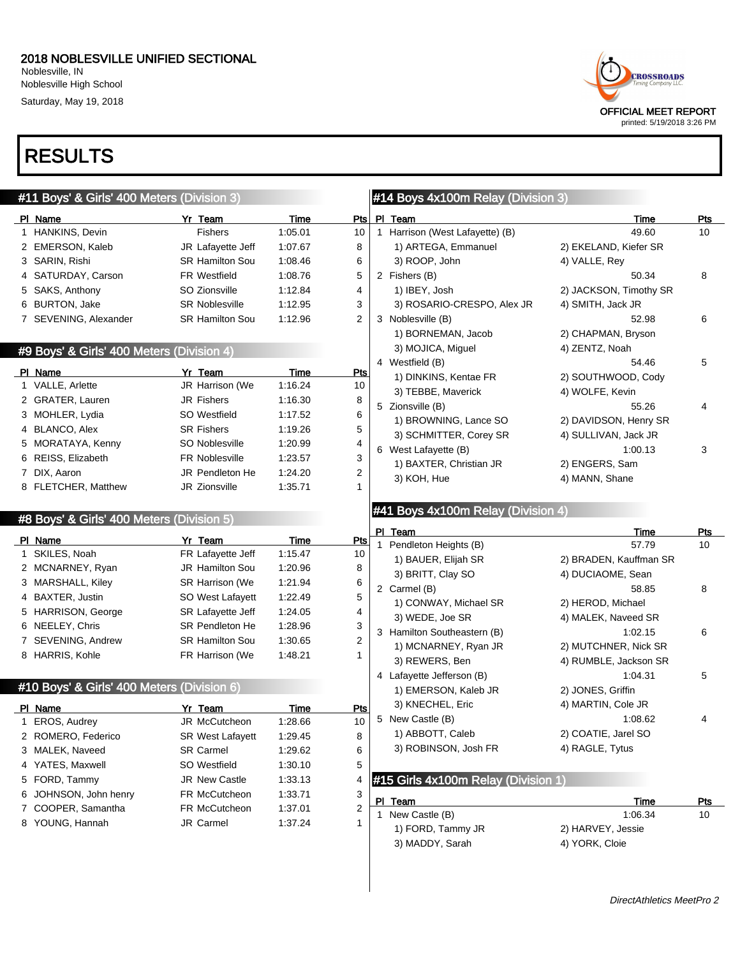Noblesville, IN Noblesville High School Saturday, May 19, 2018

## RESULTS

| #11 Boys' & Girls' 400 Meters (Division 3) |                                            |                        |             |            |  | #14 Boys 4x100m Relay (Division 3)  |                        |            |
|--------------------------------------------|--------------------------------------------|------------------------|-------------|------------|--|-------------------------------------|------------------------|------------|
|                                            | PI Name                                    | Yr Team                | Time        | Pts        |  | PI Team                             | Time                   | <b>Pts</b> |
|                                            | 1 HANKINS, Devin                           | <b>Fishers</b>         | 1:05.01     | 10         |  | 1 Harrison (West Lafayette) (B)     | 49.60                  | 10         |
|                                            | 2 EMERSON, Kaleb                           | JR Lafayette Jeff      | 1:07.67     | 8          |  | 1) ARTEGA, Emmanuel                 | 2) EKELAND, Kiefer SR  |            |
|                                            | 3 SARIN, Rishi                             | <b>SR Hamilton Sou</b> | 1:08.46     | 6          |  | 3) ROOP, John                       | 4) VALLE, Rey          |            |
|                                            | 4 SATURDAY, Carson                         | <b>FR Westfield</b>    | 1:08.76     | 5          |  | 2 Fishers (B)                       | 50.34                  | 8          |
|                                            | 5 SAKS, Anthony                            | SO Zionsville          | 1:12.84     | 4          |  | 1) IBEY, Josh                       | 2) JACKSON, Timothy SR |            |
|                                            | 6 BURTON, Jake                             | <b>SR Noblesville</b>  | 1:12.95     | 3          |  | 3) ROSARIO-CRESPO, Alex JR          | 4) SMITH, Jack JR      |            |
|                                            | 7 SEVENING, Alexander                      | <b>SR Hamilton Sou</b> | 1:12.96     | 2          |  | 3 Noblesville (B)                   | 52.98                  | 6          |
|                                            |                                            |                        |             |            |  | 1) BORNEMAN, Jacob                  | 2) CHAPMAN, Bryson     |            |
|                                            | #9 Boys' & Girls' 400 Meters (Division 4)  |                        |             |            |  | 3) MOJICA, Miguel                   | 4) ZENTZ, Noah         |            |
|                                            | PI Name                                    | Yr Team                | Time        | <u>Pts</u> |  | 4 Westfield (B)                     | 54.46                  | 5          |
|                                            | 1 VALLE, Arlette                           | JR Harrison (We        | 1:16.24     | 10         |  | 1) DINKINS, Kentae FR               | 2) SOUTHWOOD, Cody     |            |
|                                            | 2 GRATER, Lauren                           | JR Fishers             | 1:16.30     | 8          |  | 3) TEBBE, Maverick                  | 4) WOLFE, Kevin        |            |
|                                            | 3 MOHLER, Lydia                            | SO Westfield           | 1:17.52     | 6          |  | 5 Zionsville (B)                    | 55.26                  | 4          |
|                                            | 4 BLANCO, Alex                             | <b>SR Fishers</b>      | 1:19.26     | 5          |  | 1) BROWNING, Lance SO               | 2) DAVIDSON, Henry SR  |            |
|                                            | 5 MORATAYA, Kenny                          | SO Noblesville         | 1:20.99     | 4          |  | 3) SCHMITTER, Corey SR              | 4) SULLIVAN, Jack JR   |            |
|                                            | 6 REISS, Elizabeth                         | <b>FR Noblesville</b>  | 1:23.57     | 3          |  | 6 West Lafayette (B)                | 1:00.13                | 3          |
|                                            | 7 DIX, Aaron                               | JR Pendleton He        | 1:24.20     | 2          |  | 1) BAXTER, Christian JR             | 2) ENGERS, Sam         |            |
|                                            | 8 FLETCHER, Matthew                        | JR Zionsville          | 1:35.71     | 1          |  | 3) KOH, Hue                         | 4) MANN, Shane         |            |
|                                            |                                            |                        |             |            |  |                                     |                        |            |
|                                            | #8 Boys' & Girls' 400 Meters (Division 5)  |                        |             |            |  | #41 Boys 4x100m Relay (Division 4)  |                        |            |
|                                            |                                            |                        |             |            |  | PI Team                             | Time                   | Pts        |
|                                            | PI Name                                    | Yr Team                | <b>Time</b> | <u>Pts</u> |  | Pendleton Heights (B)               | 57.79                  | 10         |
|                                            | 1 SKILES, Noah                             | FR Lafayette Jeff      | 1:15.47     | 10         |  | 1) BAUER, Elijah SR                 | 2) BRADEN, Kauffman SR |            |
|                                            | 2 MCNARNEY, Ryan                           | <b>JR Hamilton Sou</b> | 1:20.96     | 8          |  | 3) BRITT, Clay SO                   | 4) DUCIAOME, Sean      |            |
|                                            | 3 MARSHALL, Kiley                          | SR Harrison (We        | 1:21.94     | 6          |  | 2 Carmel (B)                        | 58.85                  | 8          |
|                                            | 4 BAXTER, Justin                           | SO West Lafayett       | 1:22.49     | 5          |  | 1) CONWAY, Michael SR               | 2) HEROD, Michael      |            |
|                                            | 5 HARRISON, George                         | SR Lafayette Jeff      | 1:24.05     | 4          |  | 3) WEDE, Joe SR                     | 4) MALEK, Naveed SR    |            |
|                                            | 6 NEELEY, Chris                            | <b>SR Pendleton He</b> | 1:28.96     | 3          |  | 3 Hamilton Southeastern (B)         | 1:02.15                | 6          |
|                                            | 7 SEVENING, Andrew                         | <b>SR Hamilton Sou</b> | 1:30.65     | 2          |  | 1) MCNARNEY, Ryan JR                | 2) MUTCHNER, Nick SR   |            |
|                                            | 8 HARRIS, Kohle                            | FR Harrison (We        | 1:48.21     | 1          |  | 3) REWERS, Ben                      | 4) RUMBLE, Jackson SR  |            |
|                                            |                                            |                        |             |            |  | 4 Lafayette Jefferson (B)           | 1:04.31                | 5          |
|                                            | #10 Boys' & Girls' 400 Meters (Division 6) |                        |             |            |  | 1) EMERSON, Kaleb JR                | 2) JONES, Griffin      |            |
|                                            | PI Name                                    | Yr Team                | Time        | <b>Pts</b> |  | 3) KNECHEL, Eric                    | 4) MARTIN, Cole JR     |            |
|                                            | 1 EROS, Audrey                             | JR McCutcheon          | 1:28.66     | 10         |  | 5 New Castle (B)                    | 1:08.62                | 4          |
|                                            | 2 ROMERO, Federico                         | SR West Lafayett       | 1:29.45     | 8          |  | 1) ABBOTT, Caleb                    | 2) COATIE, Jarel SO    |            |
|                                            | 3 MALEK, Naveed                            | <b>SR Carmel</b>       | 1:29.62     | 6          |  | 3) ROBINSON, Josh FR                | 4) RAGLE, Tytus        |            |
|                                            | 4 YATES, Maxwell                           | SO Westfield           | 1:30.10     | 5          |  |                                     |                        |            |
|                                            | 5 FORD, Tammy                              | JR New Castle          | 1:33.13     | 4          |  | #15 Girls 4x100m Relay (Division 1) |                        |            |
|                                            | 6 JOHNSON, John henry                      | FR McCutcheon          | 1:33.71     | 3          |  |                                     |                        |            |
|                                            | 7 COOPER, Samantha                         | FR McCutcheon          | 1:37.01     | 2          |  | PI Team                             | Time                   | <u>Pts</u> |
|                                            | 8 YOUNG, Hannah                            | JR Carmel              | 1:37.24     | 1          |  | 1 New Castle (B)                    | 1:06.34                | 10         |
|                                            |                                            |                        |             |            |  | 1) FORD, Tammy JR                   | 2) HARVEY, Jessie      |            |
|                                            |                                            |                        |             |            |  | 3) MADDY, Sarah                     | 4) YORK, Cloie         |            |
|                                            |                                            |                        |             |            |  |                                     |                        |            |
|                                            |                                            |                        |             |            |  |                                     |                        |            |
|                                            |                                            |                        |             |            |  |                                     |                        |            |

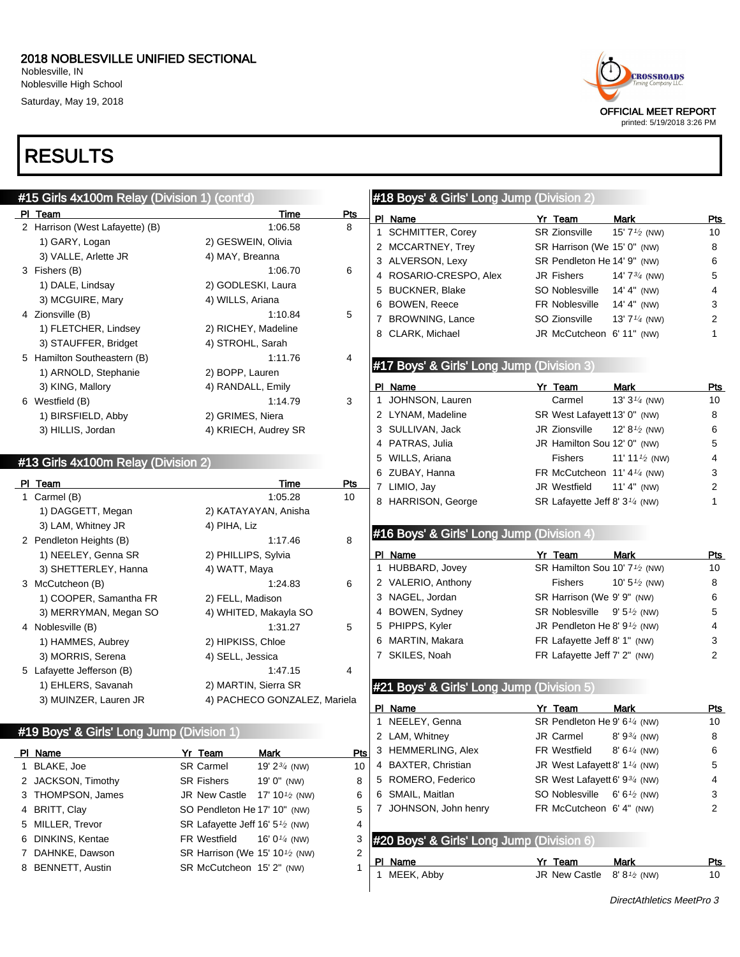### 2018 NOBLESVILLE UNIFIED SECTIONAL

Noblesville, IN Noblesville High School Saturday, May 19, 2018

## RESULTS





printed: 5/19/2018 3:26 PM